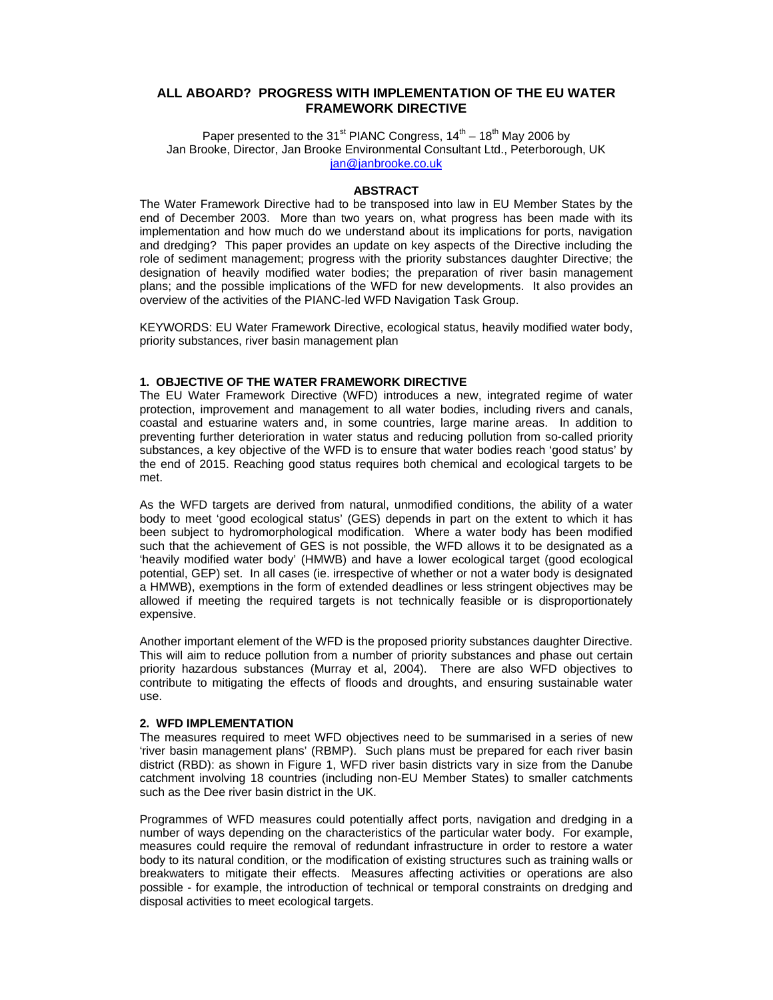# **ALL ABOARD? PROGRESS WITH IMPLEMENTATION OF THE EU WATER FRAMEWORK DIRECTIVE**

Paper presented to the 31<sup>st</sup> PIANC Congress,  $14<sup>th</sup> - 18<sup>th</sup>$  May 2006 by Jan Brooke, Director, Jan Brooke Environmental Consultant Ltd., Peterborough, UK jan@janbrooke.co.uk

#### **ABSTRACT**

The Water Framework Directive had to be transposed into law in EU Member States by the end of December 2003. More than two years on, what progress has been made with its implementation and how much do we understand about its implications for ports, navigation and dredging? This paper provides an update on key aspects of the Directive including the role of sediment management; progress with the priority substances daughter Directive; the designation of heavily modified water bodies; the preparation of river basin management plans; and the possible implications of the WFD for new developments. It also provides an overview of the activities of the PIANC-led WFD Navigation Task Group.

KEYWORDS: EU Water Framework Directive, ecological status, heavily modified water body, priority substances, river basin management plan

# **1. OBJECTIVE OF THE WATER FRAMEWORK DIRECTIVE**

The EU Water Framework Directive (WFD) introduces a new, integrated regime of water protection, improvement and management to all water bodies, including rivers and canals, coastal and estuarine waters and, in some countries, large marine areas. In addition to preventing further deterioration in water status and reducing pollution from so-called priority substances, a key objective of the WFD is to ensure that water bodies reach 'good status' by the end of 2015. Reaching good status requires both chemical and ecological targets to be met.

As the WFD targets are derived from natural, unmodified conditions, the ability of a water body to meet 'good ecological status' (GES) depends in part on the extent to which it has been subject to hydromorphological modification. Where a water body has been modified such that the achievement of GES is not possible, the WFD allows it to be designated as a 'heavily modified water body' (HMWB) and have a lower ecological target (good ecological potential, GEP) set. In all cases (ie. irrespective of whether or not a water body is designated a HMWB), exemptions in the form of extended deadlines or less stringent objectives may be allowed if meeting the required targets is not technically feasible or is disproportionately expensive.

Another important element of the WFD is the proposed priority substances daughter Directive. This will aim to reduce pollution from a number of priority substances and phase out certain priority hazardous substances (Murray et al, 2004). There are also WFD objectives to contribute to mitigating the effects of floods and droughts, and ensuring sustainable water use.

#### **2. WFD IMPLEMENTATION**

The measures required to meet WFD objectives need to be summarised in a series of new 'river basin management plans' (RBMP). Such plans must be prepared for each river basin district (RBD): as shown in Figure 1, WFD river basin districts vary in size from the Danube catchment involving 18 countries (including non-EU Member States) to smaller catchments such as the Dee river basin district in the UK.

Programmes of WFD measures could potentially affect ports, navigation and dredging in a number of ways depending on the characteristics of the particular water body. For example, measures could require the removal of redundant infrastructure in order to restore a water body to its natural condition, or the modification of existing structures such as training walls or breakwaters to mitigate their effects. Measures affecting activities or operations are also possible - for example, the introduction of technical or temporal constraints on dredging and disposal activities to meet ecological targets.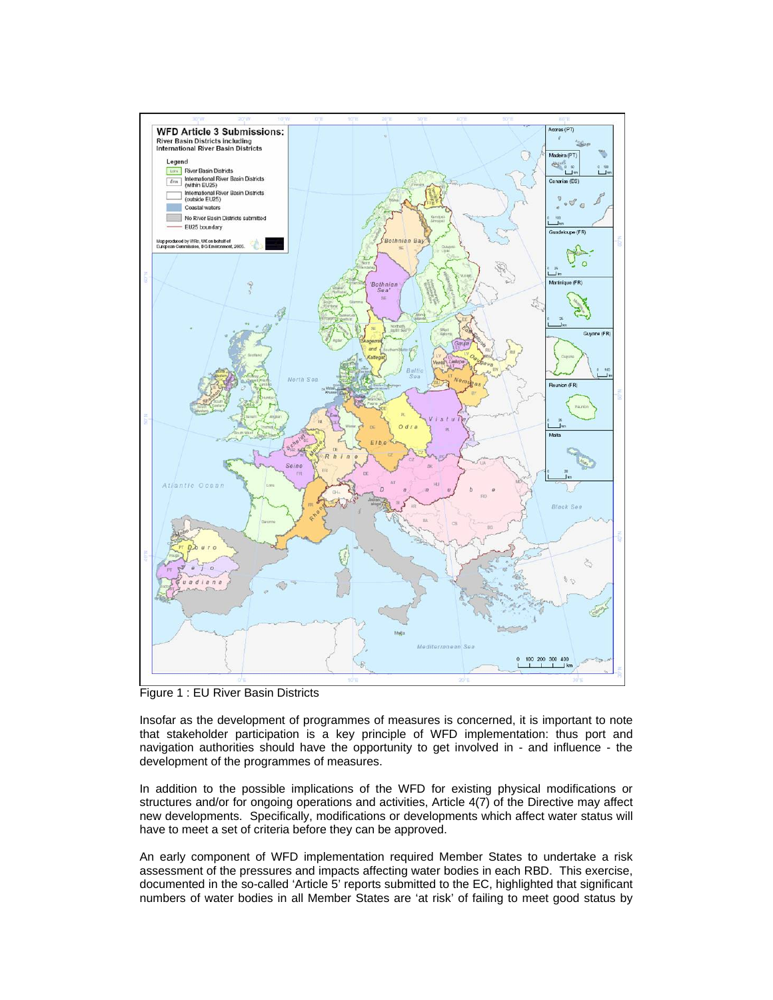

Figure 1 : EU River Basin Districts

Insofar as the development of programmes of measures is concerned, it is important to note that stakeholder participation is a key principle of WFD implementation: thus port and navigation authorities should have the opportunity to get involved in - and influence - the development of the programmes of measures.

In addition to the possible implications of the WFD for existing physical modifications or structures and/or for ongoing operations and activities, Article 4(7) of the Directive may affect new developments. Specifically, modifications or developments which affect water status will have to meet a set of criteria before they can be approved.

An early component of WFD implementation required Member States to undertake a risk assessment of the pressures and impacts affecting water bodies in each RBD. This exercise, documented in the so-called 'Article 5' reports submitted to the EC, highlighted that significant numbers of water bodies in all Member States are 'at risk' of failing to meet good status by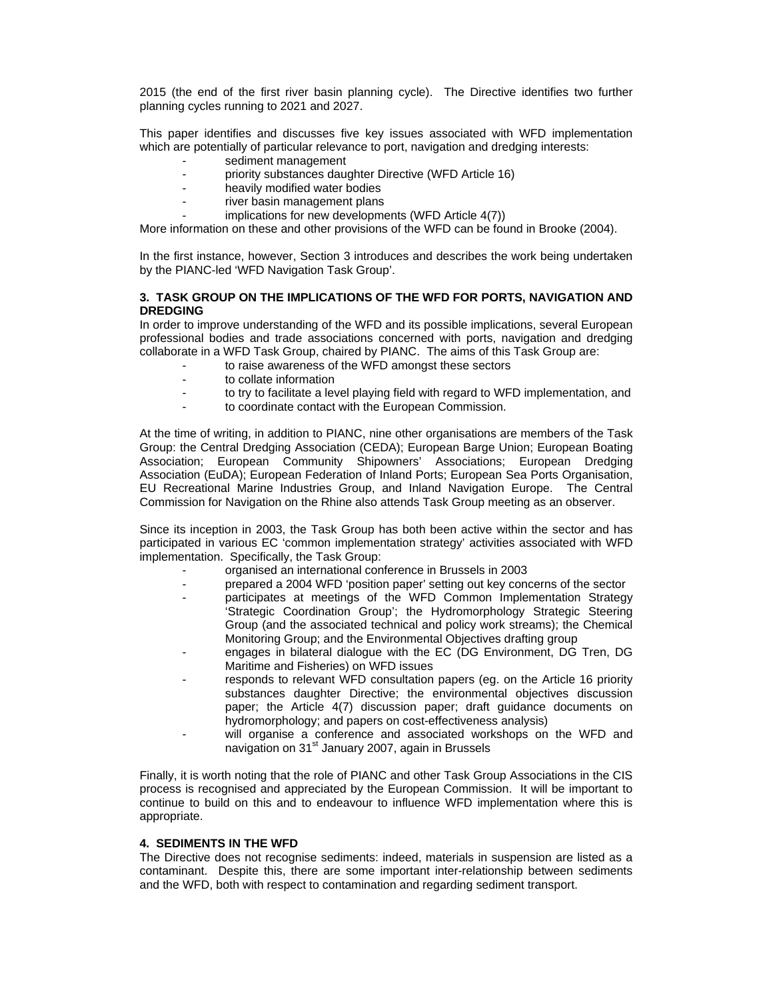2015 (the end of the first river basin planning cycle). The Directive identifies two further planning cycles running to 2021 and 2027.

This paper identifies and discusses five key issues associated with WFD implementation which are potentially of particular relevance to port, navigation and dredging interests:

- sediment management
- priority substances daughter Directive (WFD Article 16)
- heavily modified water bodies
- river basin management plans
	- implications for new developments (WFD Article 4(7))

More information on these and other provisions of the WFD can be found in Brooke (2004).

In the first instance, however, Section 3 introduces and describes the work being undertaken by the PIANC-led 'WFD Navigation Task Group'.

## **3. TASK GROUP ON THE IMPLICATIONS OF THE WFD FOR PORTS, NAVIGATION AND DREDGING**

In order to improve understanding of the WFD and its possible implications, several European professional bodies and trade associations concerned with ports, navigation and dredging collaborate in a WFD Task Group, chaired by PIANC. The aims of this Task Group are:

- to raise awareness of the WFD amongst these sectors
- to collate information
- to try to facilitate a level playing field with regard to WFD implementation, and
	- to coordinate contact with the European Commission.

At the time of writing, in addition to PIANC, nine other organisations are members of the Task Group: the Central Dredging Association (CEDA); European Barge Union; European Boating Association; European Community Shipowners' Associations; European Dredging Association (EuDA); European Federation of Inland Ports; European Sea Ports Organisation, EU Recreational Marine Industries Group, and Inland Navigation Europe. The Central Commission for Navigation on the Rhine also attends Task Group meeting as an observer.

Since its inception in 2003, the Task Group has both been active within the sector and has participated in various EC 'common implementation strategy' activities associated with WFD implementation. Specifically, the Task Group:

- organised an international conference in Brussels in 2003
- prepared a 2004 WFD 'position paper' setting out key concerns of the sector
- participates at meetings of the WFD Common Implementation Strategy 'Strategic Coordination Group'; the Hydromorphology Strategic Steering Group (and the associated technical and policy work streams); the Chemical Monitoring Group; and the Environmental Objectives drafting group
- engages in bilateral dialogue with the EC (DG Environment, DG Tren, DG Maritime and Fisheries) on WFD issues
- responds to relevant WFD consultation papers (eg. on the Article 16 priority substances daughter Directive; the environmental objectives discussion paper; the Article 4(7) discussion paper; draft guidance documents on hydromorphology; and papers on cost-effectiveness analysis)
- will organise a conference and associated workshops on the WFD and navigation on 31<sup>st</sup> January 2007, again in Brussels

Finally, it is worth noting that the role of PIANC and other Task Group Associations in the CIS process is recognised and appreciated by the European Commission. It will be important to continue to build on this and to endeavour to influence WFD implementation where this is appropriate.

### **4. SEDIMENTS IN THE WFD**

The Directive does not recognise sediments: indeed, materials in suspension are listed as a contaminant. Despite this, there are some important inter-relationship between sediments and the WFD, both with respect to contamination and regarding sediment transport.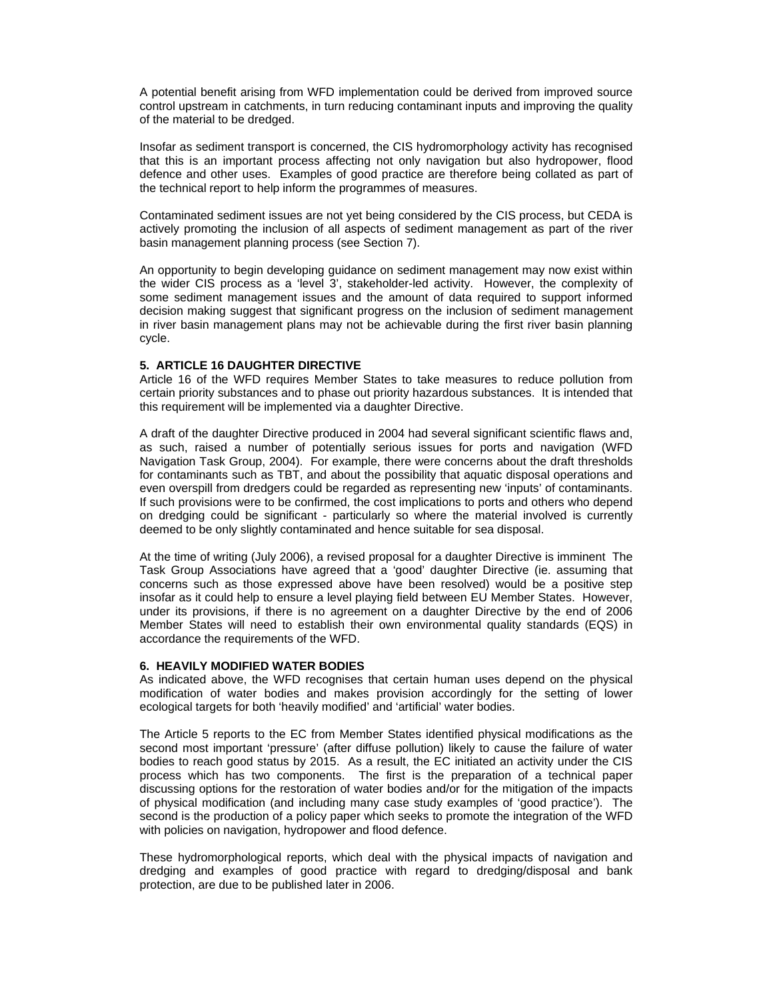A potential benefit arising from WFD implementation could be derived from improved source control upstream in catchments, in turn reducing contaminant inputs and improving the quality of the material to be dredged.

Insofar as sediment transport is concerned, the CIS hydromorphology activity has recognised that this is an important process affecting not only navigation but also hydropower, flood defence and other uses. Examples of good practice are therefore being collated as part of the technical report to help inform the programmes of measures.

Contaminated sediment issues are not yet being considered by the CIS process, but CEDA is actively promoting the inclusion of all aspects of sediment management as part of the river basin management planning process (see Section 7).

An opportunity to begin developing guidance on sediment management may now exist within the wider CIS process as a 'level 3', stakeholder-led activity. However, the complexity of some sediment management issues and the amount of data required to support informed decision making suggest that significant progress on the inclusion of sediment management in river basin management plans may not be achievable during the first river basin planning cycle.

### **5. ARTICLE 16 DAUGHTER DIRECTIVE**

Article 16 of the WFD requires Member States to take measures to reduce pollution from certain priority substances and to phase out priority hazardous substances. It is intended that this requirement will be implemented via a daughter Directive.

A draft of the daughter Directive produced in 2004 had several significant scientific flaws and, as such, raised a number of potentially serious issues for ports and navigation (WFD Navigation Task Group, 2004). For example, there were concerns about the draft thresholds for contaminants such as TBT, and about the possibility that aquatic disposal operations and even overspill from dredgers could be regarded as representing new 'inputs' of contaminants. If such provisions were to be confirmed, the cost implications to ports and others who depend on dredging could be significant - particularly so where the material involved is currently deemed to be only slightly contaminated and hence suitable for sea disposal.

At the time of writing (July 2006), a revised proposal for a daughter Directive is imminent The Task Group Associations have agreed that a 'good' daughter Directive (ie. assuming that concerns such as those expressed above have been resolved) would be a positive step insofar as it could help to ensure a level playing field between EU Member States. However, under its provisions, if there is no agreement on a daughter Directive by the end of 2006 Member States will need to establish their own environmental quality standards (EQS) in accordance the requirements of the WFD.

### **6. HEAVILY MODIFIED WATER BODIES**

As indicated above, the WFD recognises that certain human uses depend on the physical modification of water bodies and makes provision accordingly for the setting of lower ecological targets for both 'heavily modified' and 'artificial' water bodies.

The Article 5 reports to the EC from Member States identified physical modifications as the second most important 'pressure' (after diffuse pollution) likely to cause the failure of water bodies to reach good status by 2015. As a result, the EC initiated an activity under the CIS process which has two components. The first is the preparation of a technical paper discussing options for the restoration of water bodies and/or for the mitigation of the impacts of physical modification (and including many case study examples of 'good practice'). The second is the production of a policy paper which seeks to promote the integration of the WFD with policies on navigation, hydropower and flood defence.

These hydromorphological reports, which deal with the physical impacts of navigation and dredging and examples of good practice with regard to dredging/disposal and bank protection, are due to be published later in 2006.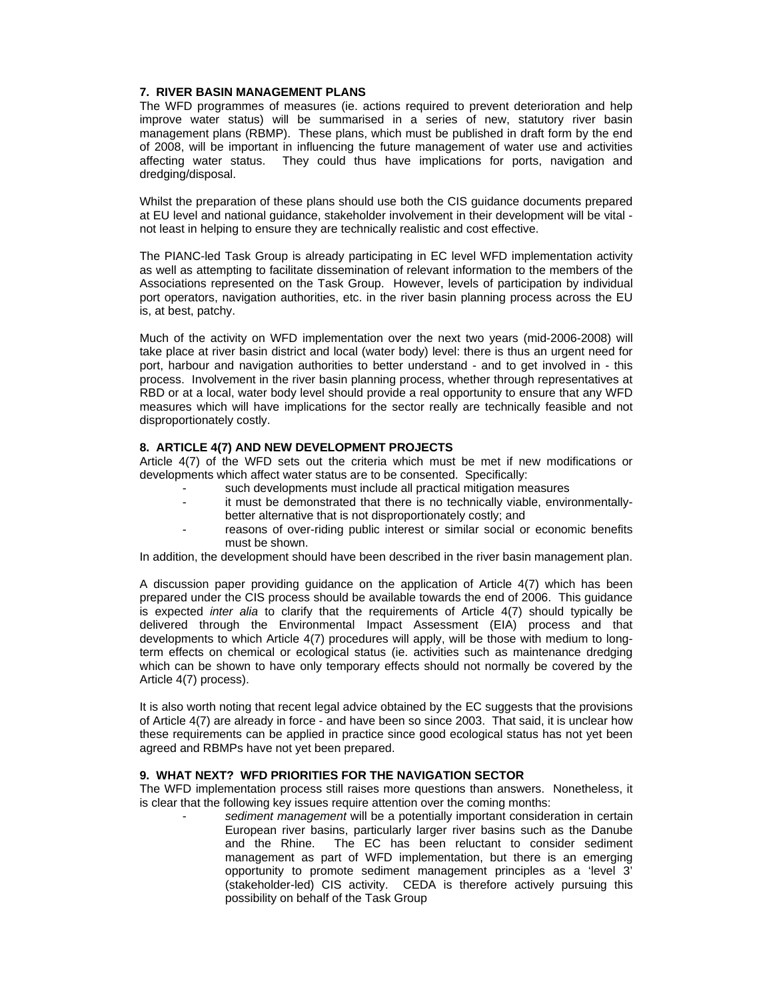### **7. RIVER BASIN MANAGEMENT PLANS**

The WFD programmes of measures (ie. actions required to prevent deterioration and help improve water status) will be summarised in a series of new, statutory river basin management plans (RBMP). These plans, which must be published in draft form by the end of 2008, will be important in influencing the future management of water use and activities affecting water status. They could thus have implications for ports, navigation and dredging/disposal.

Whilst the preparation of these plans should use both the CIS guidance documents prepared at EU level and national guidance, stakeholder involvement in their development will be vital not least in helping to ensure they are technically realistic and cost effective.

The PIANC-led Task Group is already participating in EC level WFD implementation activity as well as attempting to facilitate dissemination of relevant information to the members of the Associations represented on the Task Group. However, levels of participation by individual port operators, navigation authorities, etc. in the river basin planning process across the EU is, at best, patchy.

Much of the activity on WFD implementation over the next two years (mid-2006-2008) will take place at river basin district and local (water body) level: there is thus an urgent need for port, harbour and navigation authorities to better understand - and to get involved in - this process. Involvement in the river basin planning process, whether through representatives at RBD or at a local, water body level should provide a real opportunity to ensure that any WFD measures which will have implications for the sector really are technically feasible and not disproportionately costly.

## **8. ARTICLE 4(7) AND NEW DEVELOPMENT PROJECTS**

Article 4(7) of the WFD sets out the criteria which must be met if new modifications or developments which affect water status are to be consented. Specifically:

- such developments must include all practical mitigation measures
- it must be demonstrated that there is no technically viable, environmentallybetter alternative that is not disproportionately costly; and
- reasons of over-riding public interest or similar social or economic benefits must be shown.

In addition, the development should have been described in the river basin management plan.

A discussion paper providing guidance on the application of Article 4(7) which has been prepared under the CIS process should be available towards the end of 2006. This guidance is expected *inter alia* to clarify that the requirements of Article 4(7) should typically be delivered through the Environmental Impact Assessment (EIA) process and that developments to which Article 4(7) procedures will apply, will be those with medium to longterm effects on chemical or ecological status (ie. activities such as maintenance dredging which can be shown to have only temporary effects should not normally be covered by the Article 4(7) process).

It is also worth noting that recent legal advice obtained by the EC suggests that the provisions of Article 4(7) are already in force - and have been so since 2003. That said, it is unclear how these requirements can be applied in practice since good ecological status has not yet been agreed and RBMPs have not yet been prepared.

### **9. WHAT NEXT? WFD PRIORITIES FOR THE NAVIGATION SECTOR**

The WFD implementation process still raises more questions than answers. Nonetheless, it is clear that the following key issues require attention over the coming months:

- *sediment management* will be a potentially important consideration in certain European river basins, particularly larger river basins such as the Danube and the Rhine. The EC has been reluctant to consider sediment management as part of WFD implementation, but there is an emerging opportunity to promote sediment management principles as a 'level 3' (stakeholder-led) CIS activity. CEDA is therefore actively pursuing this possibility on behalf of the Task Group